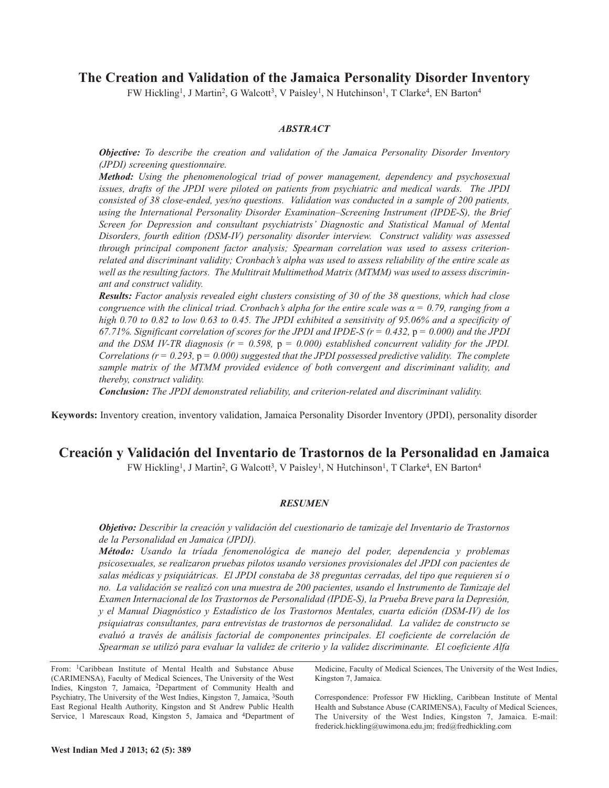# **The Creation and Validation of the Jamaica Personality Disorder Inventory**

FW Hickling<sup>1</sup>, J Martin<sup>2</sup>, G Walcott<sup>3</sup>, V Paisley<sup>1</sup>, N Hutchinson<sup>1</sup>, T Clarke<sup>4</sup>, EN Barton<sup>4</sup>

## *ABSTRACT*

*Objective: To describe the creation and validation of the Jamaica Personality Disorder Inventory (JPDI) screening questionnaire.*

*Method: Using the phenomenological triad of power management, dependency and psychosexual issues, drafts of the JPDI were piloted on patients from psychiatric and medical wards. The JPDI consisted of 38 close-ended, yes/no questions. Validation was conducted in a sample of 200 patients, using the International Personality Disorder Examination–Screening Instrument (IPDE-S), the Brief Screen for Depression and consultant psychiatrists' Diagnostic and Statistical Manual of Mental Disorders, fourth edition (DSM-IV) personality disorder interview. Construct validity was assessed through principal component factor analysis; Spearman correlation was used to assess criterionrelated and discriminant validity; Cronbach's alpha was used to assess reliability of the entire scale as well as the resulting factors. The Multitrait Multimethod Matrix (MTMM) was used to assess discriminant and construct validity.*

*Results: Factor analysis revealed eight clusters consisting of 30 of the 38 questions, which had close* congruence with the clinical triad. Cronbach's alpha for the entire scale was  $\alpha = 0.79$ , ranging from a high 0.70 to 0.82 to low 0.63 to 0.45. The JPDI exhibited a sensitivity of 95.06% and a specificity of 67.71%. Significant correlation of scores for the JPDI and IPDE-S ( $r = 0.432$ ,  $p = 0.000$ ) and the JPDI and the DSM IV-TR diagnosis  $(r = 0.598, p = 0.000)$  established concurrent validity for the JPDI. *Correlations (r = 0.293,* p *= 0.000) suggested that the JPDI possessed predictive validity. The complete sample matrix of the MTMM provided evidence of both convergent and discriminant validity, and thereby, construct validity.*

*Conclusion: The JPDI demonstrated reliability, and criterion-related and discriminant validity.*

**Keywords:** Inventory creation, inventory validation, Jamaica Personality Disorder Inventory (JPDI), personality disorder

# **Creación y Validación del Inventario de Trastornos de la Personalidad en Jamaica**

FW Hickling<sup>1</sup>, J Martin<sup>2</sup>, G Walcott<sup>3</sup>, V Paisley<sup>1</sup>, N Hutchinson<sup>1</sup>, T Clarke<sup>4</sup>, EN Barton<sup>4</sup>

#### *RESUMEN*

*Objetivo: Describir la creación y validación del cuestionario de tamizaje del Inventario de Trastornos de la Personalidad en Jamaica (JPDI).*

*Método: Usando la tríada fenomenológica de manejo del poder, dependencia y problemas psicosexuales, se realizaron pruebas pilotos usando versiones provisionales del JPDI con pacientes de salas médicas y psiquiátricas. El JPDI constaba de 38 preguntas cerradas, del tipo que requieren sí o no. La validación se realizó con una muestra de 200 pacientes, usando el Instrumento de Tamizaje del Examen Internacional de los Trastornos de Personalidad (IPDE-S), la Prueba Breve para la Depresión, y el Manual Diagnóstico y Estadístico de los Trastornos Mentales, cuarta edición (DSM-IV) de los psiquiatras consultantes, para entrevistas de trastornos de personalidad. La validez de constructo se evaluó a través de análisis factorial de componentes principales. El coeficiente de correlación de Spearman se utilizó para evaluar la validez de criterio y la validez discriminante. El coeficiente Alfa*

From: 1Caribbean Institute of Mental Health and Substance Abuse (CARIMENSA), Faculty of Medical Sciences, The University of the West Indies, Kingston 7, Jamaica, 2Department of Community Health and Psychiatry, The University of the West Indies, Kingston 7, Jamaica, 3South East Regional Health Authority, Kingston and St Andrew Public Health Service, 1 Marescaux Road, Kingston 5, Jamaica and 4Department of Medicine, Faculty of Medical Sciences, The University of the West Indies, Kingston 7, Jamaica.

Correspondence: Professor FW Hickling, Caribbean Institute of Mental Health and Substance Abuse (CARIMENSA), Faculty of Medical Sciences, The University of the West Indies, Kingston 7, Jamaica. E-mail: frederick.hickling@uwimona.edu.jm; fred@fredhickling.com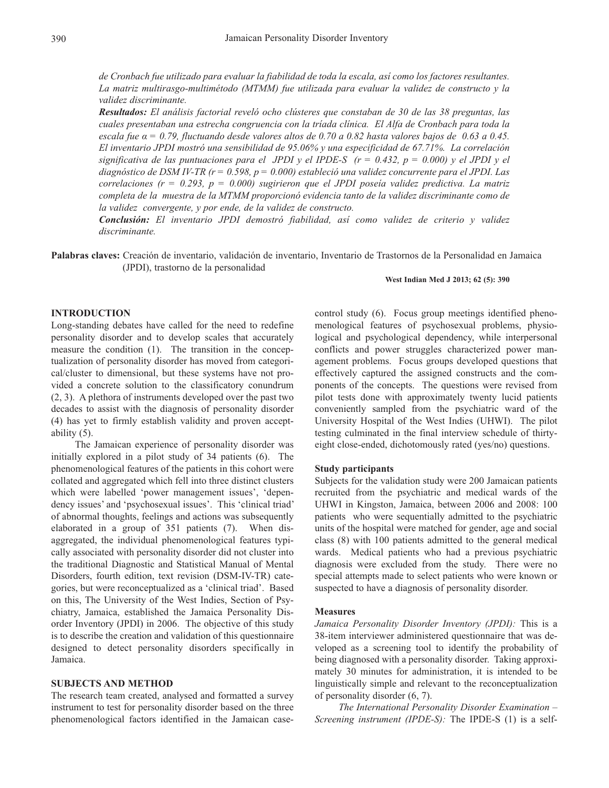de Cronbach fue utilizado para evaluar la fiabilidad de toda la escala, así como los factores resultantes. *La matriz multirasgo-multimétodo (MTMM) fue utilizada para evaluar la validez de constructo y la validez discriminante.*

*Resultados: El análisis factorial reveló ocho clústeres que constaban de 30 de las 38 preguntas, las cuales presentaban una estrecha congruencia con la tríada clínica. El Alfa de Cronbach para toda la* escala fue  $\alpha$  = 0.79, fluctuando desde valores altos de 0.70 a 0.82 hasta valores bajos de 0.63 a 0.45. *El inventario JPDI mostró una sensibilidad de 95.06% y una especificidad de 67.71%. La correlación* significativa de las puntuaciones para el JPDI y el IPDE-S ( $r = 0.432$ ,  $p = 0.000$ ) y el JPDI y el diagnóstico de DSM IV-TR ( $r = 0.598$ ,  $p = 0.000$ ) estableció una validez concurrente para el JPDI. Las *correlaciones (r = 0.293, p = 0.000) sugirieron que el JPDI poseía validez predictiva. La matriz completa de la muestra de la MTMM proporcionó evidencia tanto de la validez discriminante como de la validez convergente, y por ende, de la validez de constructo.*

*Conclusión: El inventario JPDI demostró fiabilidad, así como validez de criterio y validez discriminante.*

**Palabras claves:** Creación de inventario, validación de inventario, Inventario de Trastornos de la Personalidad en Jamaica (JPDI), trastorno de la personalidad

#### **West Indian Med J 2013; 62 (5): 390**

## **INTRODUCTION**

Long-standing debates have called for the need to redefine personality disorder and to develop scales that accurately measure the condition (1). The transition in the conceptualization of personality disorder has moved from categorical/cluster to dimensional, but these systems have not provided a concrete solution to the classificatory conundrum (2, 3). A plethora of instruments developed over the past two decades to assist with the diagnosis of personality disorder (4) has yet to firmly establish validity and proven acceptability (5).

The Jamaican experience of personality disorder was initially explored in a pilot study of 34 patients (6). The phenomenological features of the patients in this cohort were collated and aggregated which fell into three distinct clusters which were labelled 'power management issues', 'dependency issues' and 'psychosexual issues'. This 'clinical triad' of abnormal thoughts, feelings and actions was subsequently elaborated in a group of 351 patients (7). When disaggregated, the individual phenomenological features typically associated with personality disorder did not cluster into the traditional Diagnostic and Statistical Manual of Mental Disorders, fourth edition, text revision (DSM-IV-TR) categories, but were reconceptualized as a 'clinical triad'. Based on this, The University of the West Indies, Section of Psychiatry, Jamaica, established the Jamaica Personality Disorder Inventory (JPDI) in 2006. The objective of this study is to describe the creation and validation of this questionnaire designed to detect personality disorders specifically in Jamaica.

### **SUBJECTS AND METHOD**

The research team created, analysed and formatted a survey instrument to test for personality disorder based on the three phenomenological factors identified in the Jamaican casecontrol study (6). Focus group meetings identified phenomenological features of psychosexual problems, physiological and psychological dependency, while interpersonal conflicts and power struggles characterized power management problems. Focus groups developed questions that effectively captured the assigned constructs and the components of the concepts. The questions were revised from pilot tests done with approximately twenty lucid patients conveniently sampled from the psychiatric ward of the University Hospital of the West Indies (UHWI). The pilot testing culminated in the final interview schedule of thirtyeight close-ended, dichotomously rated (yes/no) questions.

### **Study participants**

Subjects for the validation study were 200 Jamaican patients recruited from the psychiatric and medical wards of the UHWI in Kingston, Jamaica, between 2006 and 2008: 100 patients who were sequentially admitted to the psychiatric units of the hospital were matched for gender, age and social class (8) with 100 patients admitted to the general medical wards. Medical patients who had a previous psychiatric diagnosis were excluded from the study. There were no special attempts made to select patients who were known or suspected to have a diagnosis of personality disorder.

#### **Measures**

*Jamaica Personality Disorder Inventory (JPDI):* This is a 38-item interviewer administered questionnaire that was developed as a screening tool to identify the probability of being diagnosed with a personality disorder. Taking approximately 30 minutes for administration, it is intended to be linguistically simple and relevant to the reconceptualization of personality disorder (6, 7).

*The International Personality Disorder Examination – Screening instrument (IPDE-S):* The IPDE-S (1) is a self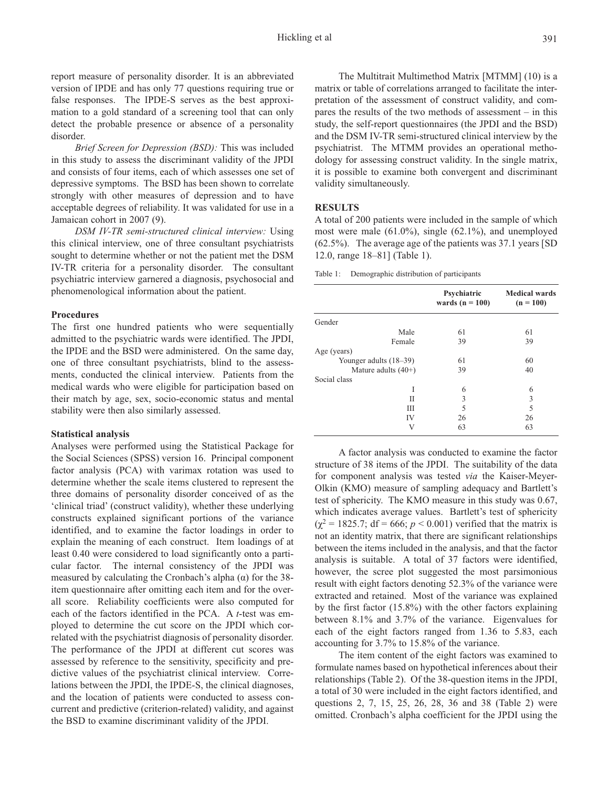report measure of personality disorder. It is an abbreviated version of IPDE and has only 77 questions requiring true or false responses. The IPDE-S serves as the best approximation to a gold standard of a screening tool that can only detect the probable presence or absence of a personality disorder.

*Brief Screen for Depression (BSD):* This was included in this study to assess the discriminant validity of the JPDI and consists of four items, each of which assesses one set of depressive symptoms. The BSD has been shown to correlate strongly with other measures of depression and to have acceptable degrees of reliability. It was validated for use in a Jamaican cohort in 2007 (9).

*DSM IV-TR semi-structured clinical interview:* Using this clinical interview, one of three consultant psychiatrists sought to determine whether or not the patient met the DSM IV-TR criteria for a personality disorder. The consultant psychiatric interview garnered a diagnosis, psychosocial and phenomenological information about the patient.

#### **Procedures**

The first one hundred patients who were sequentially admitted to the psychiatric wards were identified. The JPDI, the IPDE and the BSD were administered. On the same day, one of three consultant psychiatrists, blind to the assessments, conducted the clinical interview. Patients from the medical wards who were eligible for participation based on their match by age, sex, socio-economic status and mental stability were then also similarly assessed.

#### **Statistical analysis**

Analyses were performed using the Statistical Package for the Social Sciences (SPSS) version 16. Principal component factor analysis (PCA) with varimax rotation was used to determine whether the scale items clustered to represent the three domains of personality disorder conceived of as the 'clinical triad' (construct validity), whether these underlying constructs explained significant portions of the variance identified, and to examine the factor loadings in order to explain the meaning of each construct. Item loadings of at least 0.40 were considered to load significantly onto a particular factor. The internal consistency of the JPDI was measured by calculating the Cronbach's alpha  $(\alpha)$  for the 38item questionnaire after omitting each item and for the overall score. Reliability coefficients were also computed for each of the factors identified in the PCA. A *t*-test was employed to determine the cut score on the JPDI which correlated with the psychiatrist diagnosis of personality disorder. The performance of the JPDI at different cut scores was assessed by reference to the sensitivity, specificity and predictive values of the psychiatrist clinical interview. Correlations between the JPDI, the IPDE-S, the clinical diagnoses, and the location of patients were conducted to assess concurrent and predictive (criterion-related) validity, and against the BSD to examine discriminant validity of the JPDI.

The Multitrait Multimethod Matrix [MTMM] (10) is a matrix or table of correlations arranged to facilitate the interpretation of the assessment of construct validity, and compares the results of the two methods of assessment – in this study, the self-report questionnaires (the JPDI and the BSD) and the DSM IV-TR semi-structured clinical interview by the psychiatrist. The MTMM provides an operational methodology for assessing construct validity. In the single matrix, it is possible to examine both convergent and discriminant validity simultaneously.

### **RESULTS**

A total of 200 patients were included in the sample of which most were male (61.0%), single (62.1%), and unemployed (62.5%). The average age of the patients was 37.1 years [SD 12.0, range 18–81] (Table 1).

Table 1: Demographic distribution of participants

|                        | Psychiatric<br>wards ( $n = 100$ ) | <b>Medical wards</b><br>$(n = 100)$ |
|------------------------|------------------------------------|-------------------------------------|
| Gender                 |                                    |                                     |
| Male                   | 61                                 | 61                                  |
| Female                 | 39                                 | 39                                  |
| Age (years)            |                                    |                                     |
| Younger adults (18–39) | 61                                 | 60                                  |
| Mature adults $(40+)$  | 39                                 | 40                                  |
| Social class           |                                    |                                     |
| I                      | 6                                  | 6                                   |
| Н                      | 3                                  | 3                                   |
| Ш                      | 5                                  | 5                                   |
| IV                     | 26                                 | 26                                  |
| V                      | 63                                 | 63                                  |

A factor analysis was conducted to examine the factor structure of 38 items of the JPDI. The suitability of the data for component analysis was tested *via* the Kaiser-Meyer-Olkin (KMO) measure of sampling adequacy and Bartlett's test of sphericity. The KMO measure in this study was 0.67, which indicates average values. Bartlett's test of sphericity  $(\chi^2 = 1825.7; df = 666; p < 0.001)$  verified that the matrix is not an identity matrix, that there are significant relationships between the items included in the analysis, and that the factor analysis is suitable. A total of 37 factors were identified, however, the scree plot suggested the most parsimonious result with eight factors denoting 52.3% of the variance were extracted and retained. Most of the variance was explained by the first factor (15.8%) with the other factors explaining between 8.1% and 3.7% of the variance. Eigenvalues for each of the eight factors ranged from 1.36 to 5.83, each accounting for 3.7% to 15.8% of the variance.

The item content of the eight factors was examined to formulate names based on hypothetical inferences about their relationships (Table 2). Of the 38-question items in the JPDI, a total of 30 were included in the eight factors identified, and questions 2, 7, 15, 25, 26, 28, 36 and 38 (Table 2) were omitted. Cronbach's alpha coefficient for the JPDI using the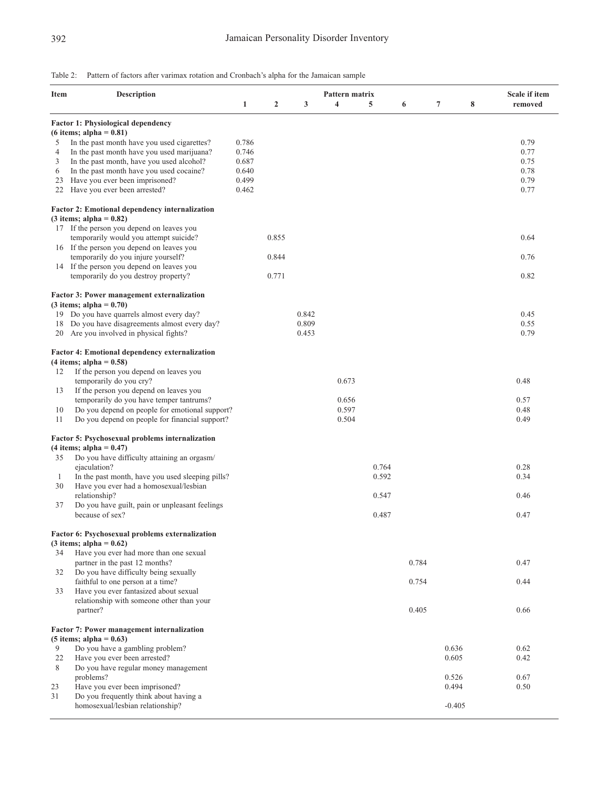## Table 2: Pattern of factors after varimax rotation and Cronbach's alpha for the Jamaican sample

| <b>Item</b> | <b>Description</b>                                                                 | Pattern matrix |                |       |                         |       |       |          | Scale if item |         |
|-------------|------------------------------------------------------------------------------------|----------------|----------------|-------|-------------------------|-------|-------|----------|---------------|---------|
|             |                                                                                    | $\mathbf{1}$   | $\overline{2}$ | 3     | $\overline{\mathbf{4}}$ | 5     | 6     | 7        | 8             | removed |
|             | <b>Factor 1: Physiological dependency</b>                                          |                |                |       |                         |       |       |          |               |         |
|             | $(6$ items; alpha = $0.81$ )                                                       |                |                |       |                         |       |       |          |               |         |
| 5           | In the past month have you used cigarettes?                                        | 0.786          |                |       |                         |       |       |          |               | 0.79    |
| 4           | In the past month have you used marijuana?                                         | 0.746          |                |       |                         |       |       |          |               | 0.77    |
| 3           | In the past month, have you used alcohol?                                          | 0.687          |                |       |                         |       |       |          |               | 0.75    |
| 6           | In the past month have you used cocaine?                                           | 0.640          |                |       |                         |       |       |          |               | 0.78    |
| 23          | Have you ever been imprisoned?                                                     | 0.499          |                |       |                         |       |       |          |               | 0.79    |
| 22          | Have you ever been arrested?                                                       | 0.462          |                |       |                         |       |       |          |               | 0.77    |
|             | <b>Factor 2: Emotional dependency internalization</b>                              |                |                |       |                         |       |       |          |               |         |
|             | $(3$ items; alpha = 0.82)                                                          |                |                |       |                         |       |       |          |               |         |
|             | 17 If the person you depend on leaves you                                          |                |                |       |                         |       |       |          |               |         |
|             | temporarily would you attempt suicide?                                             |                | 0.855          |       |                         |       |       |          |               | 0.64    |
|             | 16 If the person you depend on leaves you                                          |                |                |       |                         |       |       |          |               |         |
|             | temporarily do you injure yourself?                                                |                | 0.844          |       |                         |       |       |          |               | 0.76    |
|             | 14 If the person you depend on leaves you                                          |                |                |       |                         |       |       |          |               |         |
|             | temporarily do you destroy property?                                               |                | 0.771          |       |                         |       |       |          |               | 0.82    |
|             | Factor 3: Power management externalization                                         |                |                |       |                         |       |       |          |               |         |
|             | $(3$ items; alpha = $0.70$ )                                                       |                |                |       |                         |       |       |          |               |         |
|             | 19 Do you have quarrels almost every day?                                          |                |                | 0.842 |                         |       |       |          |               | 0.45    |
| 18          | Do you have disagreements almost every day?                                        |                |                | 0.809 |                         |       |       |          |               | 0.55    |
| 20          | Are you involved in physical fights?                                               |                |                | 0.453 |                         |       |       |          |               | 0.79    |
|             | <b>Factor 4: Emotional dependency externalization</b><br>$(4$ items; alpha = 0.58) |                |                |       |                         |       |       |          |               |         |
| 12          | If the person you depend on leaves you                                             |                |                |       |                         |       |       |          |               |         |
|             | temporarily do you cry?                                                            |                |                |       | 0.673                   |       |       |          |               | 0.48    |
| 13          | If the person you depend on leaves you                                             |                |                |       |                         |       |       |          |               |         |
|             | temporarily do you have temper tantrums?                                           |                |                |       | 0.656                   |       |       |          |               | 0.57    |
| 10          | Do you depend on people for emotional support?                                     |                |                |       | 0.597                   |       |       |          |               | 0.48    |
| 11          | Do you depend on people for financial support?                                     |                |                |       | 0.504                   |       |       |          |               | 0.49    |
|             | Factor 5: Psychosexual problems internalization                                    |                |                |       |                         |       |       |          |               |         |
|             | $(4$ items; alpha = 0.47)                                                          |                |                |       |                         |       |       |          |               |         |
|             |                                                                                    |                |                |       |                         |       |       |          |               |         |
| 35          | Do you have difficulty attaining an orgasm/                                        |                |                |       |                         |       |       |          |               |         |
|             | ejaculation?                                                                       |                |                |       |                         | 0.764 |       |          |               | 0.28    |
| 1           | In the past month, have you used sleeping pills?                                   |                |                |       |                         | 0.592 |       |          |               | 0.34    |
| 30          | Have you ever had a homosexual/lesbian                                             |                |                |       |                         |       |       |          |               |         |
|             | relationship?                                                                      |                |                |       |                         | 0.547 |       |          |               | 0.46    |
| 37          | Do you have guilt, pain or unpleasant feelings                                     |                |                |       |                         |       |       |          |               |         |
|             | because of sex?                                                                    |                |                |       |                         | 0.487 |       |          |               | 0.47    |
|             | Factor 6: Psychosexual problems externalization                                    |                |                |       |                         |       |       |          |               |         |
|             | $(3 \text{ items}; \text{alpha} = 0.62)$                                           |                |                |       |                         |       |       |          |               |         |
| 34          | Have you ever had more than one sexual                                             |                |                |       |                         |       |       |          |               |         |
|             | partner in the past 12 months?                                                     |                |                |       |                         |       | 0.784 |          |               | 0.47    |
| 32          | Do you have difficulty being sexually                                              |                |                |       |                         |       |       |          |               |         |
|             | faithful to one person at a time?                                                  |                |                |       |                         |       | 0.754 |          |               | 0.44    |
| 33          | Have you ever fantasized about sexual                                              |                |                |       |                         |       |       |          |               |         |
|             | relationship with someone other than your                                          |                |                |       |                         |       |       |          |               |         |
|             | partner?                                                                           |                |                |       |                         |       | 0.405 |          |               | 0.66    |
|             | <b>Factor 7: Power management internalization</b>                                  |                |                |       |                         |       |       |          |               |         |
|             | $(5$ items; alpha = 0.63)                                                          |                |                |       |                         |       |       |          |               |         |
| 9           | Do you have a gambling problem?                                                    |                |                |       |                         |       |       | 0.636    |               | 0.62    |
| 22          | Have you ever been arrested?                                                       |                |                |       |                         |       |       | 0.605    |               | 0.42    |
| 8           | Do you have regular money management                                               |                |                |       |                         |       |       |          |               |         |
|             | problems?                                                                          |                |                |       |                         |       |       | 0.526    |               | 0.67    |
| 23          | Have you ever been imprisoned?                                                     |                |                |       |                         |       |       | 0.494    |               | 0.50    |
| 31          | Do you frequently think about having a                                             |                |                |       |                         |       |       |          |               |         |
|             | homosexual/lesbian relationship?                                                   |                |                |       |                         |       |       | $-0.405$ |               |         |
|             |                                                                                    |                |                |       |                         |       |       |          |               |         |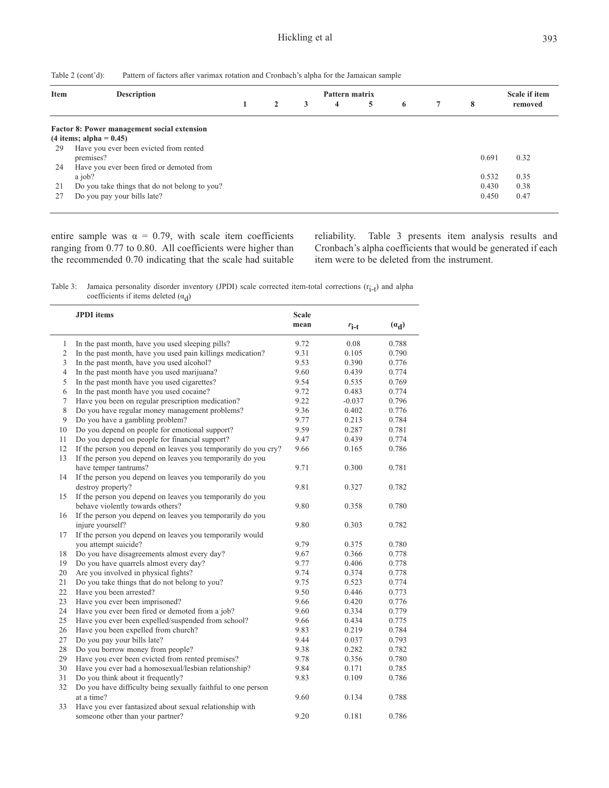| Table $2$ (cont'd): | Pattern of factors after varimax rotation and Cronbach's alpha for the Jamaican sample |  |  |  |
|---------------------|----------------------------------------------------------------------------------------|--|--|--|
|                     |                                                                                        |  |  |  |

| <b>Item</b> | <b>Description</b>                            | Pattern matrix |   |   |   |   |   |  | Scale if item |         |
|-------------|-----------------------------------------------|----------------|---|---|---|---|---|--|---------------|---------|
|             |                                               | 1              | 2 | 3 | 4 | 5 | 6 |  | 8             | removed |
|             | Factor 8: Power management social extension   |                |   |   |   |   |   |  |               |         |
|             | $(4$ items; alpha = 0.45)                     |                |   |   |   |   |   |  |               |         |
| 29          | Have you ever been evicted from rented        |                |   |   |   |   |   |  |               |         |
|             | premises?                                     |                |   |   |   |   |   |  | 0.691         | 0.32    |
| 24          | Have you ever been fired or demoted from      |                |   |   |   |   |   |  |               |         |
|             | a job?                                        |                |   |   |   |   |   |  | 0.532         | 0.35    |
| 21          | Do you take things that do not belong to you? |                |   |   |   |   |   |  | 0.430         | 0.38    |
|             | Do you pay your bills late?                   |                |   |   |   |   |   |  | 0.450         | 0.47    |

entire sample was  $\alpha = 0.79$ , with scale item coefficients ranging from 0.77 to 0.80. All coefficients were higher than the recommended 0.70 indicating that the scale had suitable reliability. Table 3 presents item analysis results and Cronbach's alpha coefficients that would be generated if each item were to be deleted from the instrument.

Table 3: Jamaica personality disorder inventory (JPDI) scale corrected item-total corrections  $(r_{i-t})$  and alpha coefficients if items deleted  $(\alpha_d)$ 

|                | <b>JPDI</b> items                                              | <b>Scale</b> |           |         |
|----------------|----------------------------------------------------------------|--------------|-----------|---------|
|                |                                                                | mean         | $r_{i-t}$ | $(a_d)$ |
| $\mathbf{1}$   | In the past month, have you used sleeping pills?               | 9.72         | 0.08      | 0.788   |
| $\sqrt{2}$     | In the past month, have you used pain killings medication?     | 9.31         | 0.105     | 0.790   |
| 3              | In the past month, have you used alcohol?                      | 9.53         | 0.390     | 0.776   |
| $\overline{4}$ | In the past month have you used marijuana?                     | 9.60         | 0.439     | 0.774   |
| 5              | In the past month have you used cigarettes?                    | 9.54         | 0.535     | 0.769   |
| 6              | In the past month have you used cocaine?                       | 9.72         | 0.483     | 0.774   |
| 7              | Have you been on regular prescription medication?              | 9.22         | $-0.037$  | 0.796   |
| $\,8\,$        | Do you have regular money management problems?                 | 9.36         | 0.402     | 0.776   |
| 9              | Do you have a gambling problem?                                | 9.77         | 0.213     | 0.784   |
| 10             | Do you depend on people for emotional support?                 | 9.59         | 0.287     | 0.781   |
| 11             | Do you depend on people for financial support?                 | 9.47         | 0.439     | 0.774   |
| 12             | If the person you depend on leaves you temporarily do you cry? | 9.66         | 0.165     | 0.786   |
| 13             | If the person you depend on leaves you temporarily do you      |              |           |         |
|                | have temper tantrums?                                          | 9.71         | 0.300     | 0.781   |
| 14             | If the person you depend on leaves you temporarily do you      |              |           |         |
|                | destroy property?                                              | 9.81         | 0.327     | 0.782   |
| 15             | If the person you depend on leaves you temporarily do you      |              |           |         |
|                | behave violently towards others?                               | 9.80         | 0.358     | 0.780   |
| 16             | If the person you depend on leaves you temporarily do you      |              |           |         |
|                | injure yourself?                                               | 9.80         | 0.303     | 0.782   |
| 17             | If the person you depend on leaves you temporarily would       |              |           |         |
|                | you attempt suicide?                                           | 9.79         | 0.375     | 0.780   |
| 18             | Do you have disagreements almost every day?                    | 9.67         | 0.366     | 0.778   |
| 19             | Do you have quarrels almost every day?                         | 9.77         | 0.406     | 0.778   |
| 20             | Are you involved in physical fights?                           | 9.74         | 0.374     | 0.778   |
| 21             | Do you take things that do not belong to you?                  | 9.75         | 0.523     | 0.774   |
| 22             | Have you been arrested?                                        | 9.50         | 0.446     | 0.773   |
| 23             | Have you ever been imprisoned?                                 | 9.66         | 0.420     | 0.776   |
| 24             | Have you ever been fired or demoted from a job?                | 9.60         | 0.334     | 0.779   |
| 25             | Have you ever been expelled/suspended from school?             | 9.66         | 0.434     | 0.775   |
| 26             | Have you been expelled from church?                            | 9.83         | 0.219     | 0.784   |
| 27             | Do you pay your bills late?                                    | 9.44         | 0.037     | 0.793   |
| 28             | Do you borrow money from people?                               | 9.38         | 0.282     | 0.782   |
| 29             | Have you ever been evicted from rented premises?               | 9.78         | 0.356     | 0.780   |
| 30             | Have you ever had a homosexual/lesbian relationship?           | 9.84         | 0.171     | 0.785   |
| 31             | Do you think about it frequently?                              | 9.83         | 0.109     | 0.786   |
| 32             | Do you have difficulty being sexually faithful to one person   |              |           |         |
|                | at a time?                                                     | 9.60         | 0.134     | 0.788   |
| 33             | Have you ever fantasized about sexual relationship with        |              |           |         |
|                | someone other than your partner?                               | 9.20         | 0.181     | 0.786   |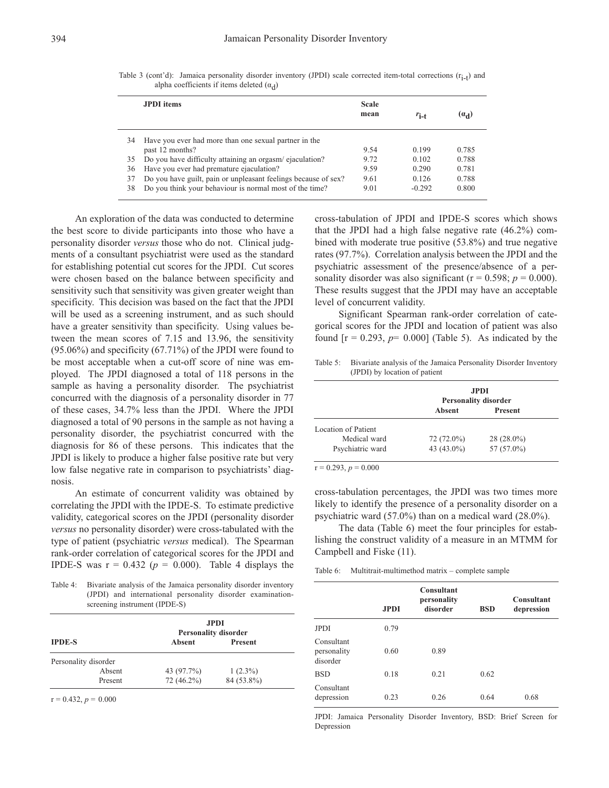|    | <b>JPDI</b> items                                              | <b>Scale</b><br>mean | $r_{i-t}$ | $(a_d)$ |
|----|----------------------------------------------------------------|----------------------|-----------|---------|
| 34 | Have you ever had more than one sexual partner in the          |                      |           |         |
|    | past 12 months?                                                | 9.54                 | 0.199     | 0.785   |
| 35 | Do you have difficulty attaining an orgasm/ejaculation?        | 9.72                 | 0.102     | 0.788   |
| 36 | Have you ever had premature ejaculation?                       | 9.59                 | 0.290     | 0.781   |
| 37 | Do you have guilt, pain or unpleasant feelings because of sex? | 9.61                 | 0.126     | 0.788   |
| 38 | Do you think your behaviour is normal most of the time?        | 9.01                 | $-0.292$  | 0.800   |

Table 3 (cont'd): Jamaica personality disorder inventory (JPDI) scale corrected item-total corrections  $(r_{i-t})$  and alpha coefficients if items deleted  $(\alpha_d)$ 

An exploration of the data was conducted to determine the best score to divide participants into those who have a personality disorder *versus* those who do not. Clinical judgments of a consultant psychiatrist were used as the standard for establishing potential cut scores for the JPDI. Cut scores were chosen based on the balance between specificity and sensitivity such that sensitivity was given greater weight than specificity. This decision was based on the fact that the JPDI will be used as a screening instrument, and as such should have a greater sensitivity than specificity. Using values between the mean scores of 7.15 and 13.96, the sensitivity (95.06%) and specificity (67.71%) of the JPDI were found to be most acceptable when a cut-off score of nine was employed. The JPDI diagnosed a total of 118 persons in the sample as having a personality disorder. The psychiatrist concurred with the diagnosis of a personality disorder in 77 of these cases, 34.7% less than the JPDI. Where the JPDI diagnosed a total of 90 persons in the sample as not having a personality disorder, the psychiatrist concurred with the diagnosis for 86 of these persons. This indicates that the JPDI is likely to produce a higher false positive rate but very low false negative rate in comparison to psychiatrists' diagnosis.

An estimate of concurrent validity was obtained by correlating the JPDI with the IPDE-S. To estimate predictive validity, categorical scores on the JPDI (personality disorder *versus* no personality disorder) were cross-tabulated with the type of patient (psychiatric *versus* medical). The Spearman rank-order correlation of categorical scores for the JPDI and IPDE-S was  $r = 0.432$  ( $p = 0.000$ ). Table 4 displays the

Table 4: Bivariate analysis of the Jamaica personality disorder inventory (JPDI) and international personality disorder examinationscreening instrument (IPDE-S)

|                      | <b>JPDI</b><br><b>Personality disorder</b> |                |  |  |  |  |
|----------------------|--------------------------------------------|----------------|--|--|--|--|
| <b>IPDE-S</b>        | <b>Absent</b>                              | <b>Present</b> |  |  |  |  |
| Personality disorder |                                            |                |  |  |  |  |
| Absent               | 43 (97.7%)                                 | $1(2.3\%)$     |  |  |  |  |
| Present              | $72(46.2\%)$                               | 84 (53.8%)     |  |  |  |  |

 $r = 0.432, p = 0.000$ 

cross-tabulation of JPDI and IPDE-S scores which shows that the JPDI had a high false negative rate (46.2%) combined with moderate true positive (53.8%) and true negative rates (97.7%). Correlation analysis between the JPDI and the psychiatric assessment of the presence/absence of a personality disorder was also significant ( $r = 0.598$ ;  $p = 0.000$ ). These results suggest that the JPDI may have an acceptable level of concurrent validity.

Significant Spearman rank-order correlation of categorical scores for the JPDI and location of patient was also found  $[r = 0.293, p= 0.000]$  (Table 5). As indicated by the

Table 5: Bivariate analysis of the Jamaica Personality Disorder Inventory (JPDI) by location of patient

|                     | <b>JPDI</b>                 |                |  |  |
|---------------------|-----------------------------|----------------|--|--|
|                     | <b>Personality disorder</b> |                |  |  |
|                     | Absent                      | <b>Present</b> |  |  |
| Location of Patient |                             |                |  |  |
| Medical ward        | 72 (72.0%)                  | $28(28.0\%)$   |  |  |
|                     | 43 (43.0%)                  | 57 $(57.0\%)$  |  |  |

 $r = 0.293$ ,  $p = 0.000$ 

cross-tabulation percentages, the JPDI was two times more likely to identify the presence of a personality disorder on a psychiatric ward (57.0%) than on a medical ward (28.0%).

The data (Table 6) meet the four principles for establishing the construct validity of a measure in an MTMM for Campbell and Fiske (11).

Table 6: Multitrait-multimethod matrix – complete sample

|                                       | <b>JPDI</b> | <b>Consultant</b><br>personality<br>disorder | <b>BSD</b> | <b>Consultant</b><br>depression |
|---------------------------------------|-------------|----------------------------------------------|------------|---------------------------------|
| <b>JPDI</b>                           | 0.79        |                                              |            |                                 |
| Consultant<br>personality<br>disorder | 0.60        | 0.89                                         |            |                                 |
| <b>BSD</b>                            | 0.18        | 0.21                                         | 0.62       |                                 |
| Consultant<br>depression              | 0.23        | 0.26                                         | 0.64       | 0.68                            |

JPDI: Jamaica Personality Disorder Inventory, BSD: Brief Screen for Depression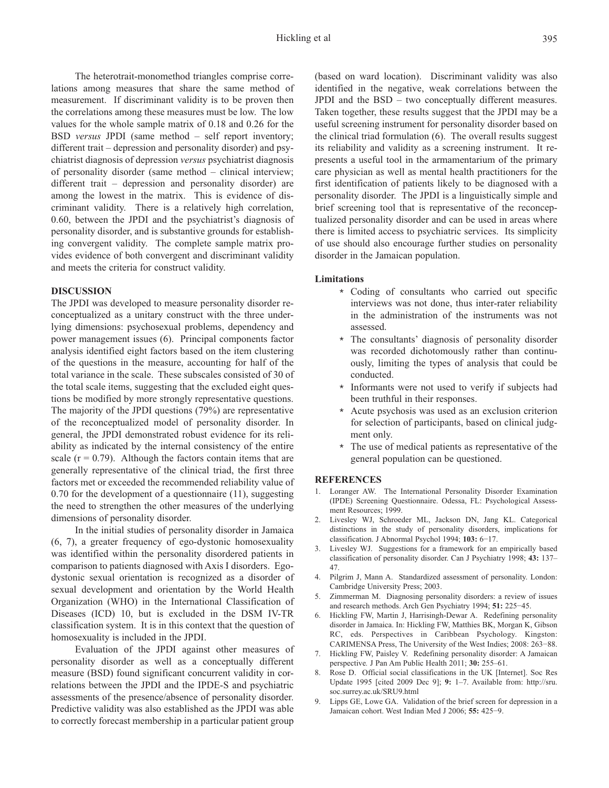The heterotrait-monomethod triangles comprise correlations among measures that share the same method of measurement. If discriminant validity is to be proven then the correlations among these measures must be low. The low values for the whole sample matrix of 0.18 and 0.26 for the BSD *versus* JPDI (same method – self report inventory; different trait – depression and personality disorder) and psychiatrist diagnosis of depression *versus* psychiatrist diagnosis of personality disorder (same method – clinical interview; different trait – depression and personality disorder) are among the lowest in the matrix. This is evidence of discriminant validity. There is a relatively high correlation, 0.60, between the JPDI and the psychiatrist's diagnosis of personality disorder, and is substantive grounds for establishing convergent validity. The complete sample matrix provides evidence of both convergent and discriminant validity and meets the criteria for construct validity.

#### **DISCUSSION**

The JPDI was developed to measure personality disorder reconceptualized as a unitary construct with the three underlying dimensions: psychosexual problems, dependency and power management issues (6). Principal components factor analysis identified eight factors based on the item clustering of the questions in the measure, accounting for half of the total variance in the scale. These subscales consisted of 30 of the total scale items, suggesting that the excluded eight questions be modified by more strongly representative questions. The majority of the JPDI questions (79%) are representative of the reconceptualized model of personality disorder. In general, the JPDI demonstrated robust evidence for its reliability as indicated by the internal consistency of the entire scale  $(r = 0.79)$ . Although the factors contain items that are generally representative of the clinical triad, the first three factors met or exceeded the recommended reliability value of 0.70 for the development of a questionnaire (11), suggesting the need to strengthen the other measures of the underlying dimensions of personality disorder.

In the initial studies of personality disorder in Jamaica (6, 7), a greater frequency of ego-dystonic homosexuality was identified within the personality disordered patients in comparison to patients diagnosed with Axis I disorders. Egodystonic sexual orientation is recognized as a disorder of sexual development and orientation by the World Health Organization (WHO) in the International Classification of Diseases (ICD) 10, but is excluded in the DSM IV-TR classification system. It is in this context that the question of homosexuality is included in the JPDI.

Evaluation of the JPDI against other measures of personality disorder as well as a conceptually different measure (BSD) found significant concurrent validity in correlations between the JPDI and the IPDE-S and psychiatric assessments of the presence/absence of personality disorder. Predictive validity was also established as the JPDI was able to correctly forecast membership in a particular patient group

(based on ward location). Discriminant validity was also identified in the negative, weak correlations between the JPDI and the BSD – two conceptually different measures. Taken together, these results suggest that the JPDI may be a useful screening instrument for personality disorder based on the clinical triad formulation (6). The overall results suggest its reliability and validity as a screening instrument. It represents a useful tool in the armamentarium of the primary care physician as well as mental health practitioners for the first identification of patients likely to be diagnosed with a personality disorder. The JPDI is a linguistically simple and brief screening tool that is representative of the reconceptualized personality disorder and can be used in areas where there is limited access to psychiatric services. Its simplicity of use should also encourage further studies on personality disorder in the Jamaican population.

#### **Limitations**

- \* Coding of consultants who carried out specific interviews was not done, thus inter-rater reliability in the administration of the instruments was not assessed.
- \* The consultants' diagnosis of personality disorder was recorded dichotomously rather than continuously, limiting the types of analysis that could be conducted.
- \* Informants were not used to verify if subjects had been truthful in their responses.
- \* Acute psychosis was used as an exclusion criterion for selection of participants, based on clinical judgment only.
- \* The use of medical patients as representative of the general population can be questioned.

#### **REFERENCES**

- 1. Loranger AW. The International Personality Disorder Examination (IPDE) Screening Questionnaire. Odessa, FL: Psychological Assessment Resources; 1999.
- 2. Livesley WJ, Schroeder ML, Jackson DN, Jang KL. Categorical distinctions in the study of personality disorders, implications for classification. J Abnormal Psychol 1994; **103:** 6−17.
- Livesley WJ. Suggestions for a framework for an empirically based classification of personality disorder. Can J Psychiatry 1998; **43:** 137– 47.
- 4. Pilgrim J, Mann A. Standardized assessment of personality. London: Cambridge University Press; 2003.
- 5. Zimmerman M. Diagnosing personality disorders: a review of issues and research methods. Arch Gen Psychiatry 1994; **51:** 225−45.
- 6. Hickling FW, Martin J, Harrisingh-Dewar A. Redefining personality disorder in Jamaica. In: Hickling FW, Matthies BK, Morgan K, Gibson RC, eds. Perspectives in Caribbean Psychology. Kingston: CARIMENSA Press, The University of the West Indies; 2008: 263−88.
- 7. Hickling FW, Paisley V. Redefining personality disorder: A Jamaican perspective*.* J Pan Am Public Health 2011; **30:** 255–61.
- 8. Rose D. Official social classifications in the UK [Internet]. Soc Res Update 1995 [cited 2009 Dec 9]; **9:** 1–7. Available from: http://sru. soc.surrey.ac.uk/SRU9.html
- 9. Lipps GE, Lowe GA. Validation of the brief screen for depression in a Jamaican cohort. West Indian Med J 2006; **55:** 425−9.